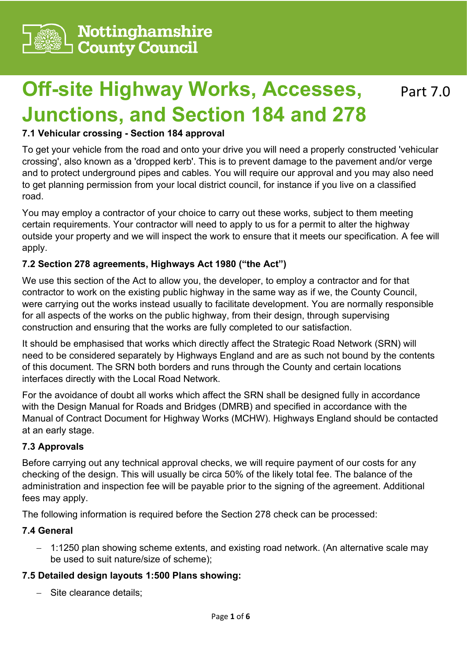

# **Off-site Highway Works, Accesses, Junctions, and Section 184 and 278** Part 7.0

#### **7.1 Vehicular crossing - Section 184 approval**

To get your vehicle from the road and onto your drive you will need a properly constructed 'vehicular crossing', also known as a 'dropped kerb'. This is to prevent damage to the pavement and/or verge and to protect underground pipes and cables. You will require our approval and you may also need to get planning permission from your local district council, for instance if you live on a classified road.

You may employ a contractor of your choice to carry out these works, subject to them meeting certain requirements. Your contractor will need to apply to us for a permit to alter the highway outside your property and we will inspect the work to ensure that it meets our specification. A fee will apply.

#### **7.2 Section 278 agreements, Highways Act 1980 ("the Act")**

We use this section of the Act to allow you, the developer, to employ a contractor and for that contractor to work on the existing public highway in the same way as if we, the County Council, were carrying out the works instead usually to facilitate development. You are normally responsible for all aspects of the works on the public highway, from their design, through supervising construction and ensuring that the works are fully completed to our satisfaction.

It should be emphasised that works which directly affect the Strategic Road Network (SRN) will need to be considered separately by Highways England and are as such not bound by the contents of this document. The SRN both borders and runs through the County and certain locations interfaces directly with the Local Road Network.

For the avoidance of doubt all works which affect the SRN shall be designed fully in accordance with the Design Manual for Roads and Bridges (DMRB) and specified in accordance with the Manual of Contract Document for Highway Works (MCHW). Highways England should be contacted at an early stage.

#### **7.3 Approvals**

Before carrying out any technical approval checks, we will require payment of our costs for any checking of the design. This will usually be circa 50% of the likely total fee. The balance of the administration and inspection fee will be payable prior to the signing of the agreement. Additional fees may apply.

The following information is required before the Section 278 check can be processed:

#### **7.4 General**

− 1:1250 plan showing scheme extents, and existing road network. (An alternative scale may be used to suit nature/size of scheme);

#### **7.5 Detailed design layouts 1:500 Plans showing:**

− Site clearance details;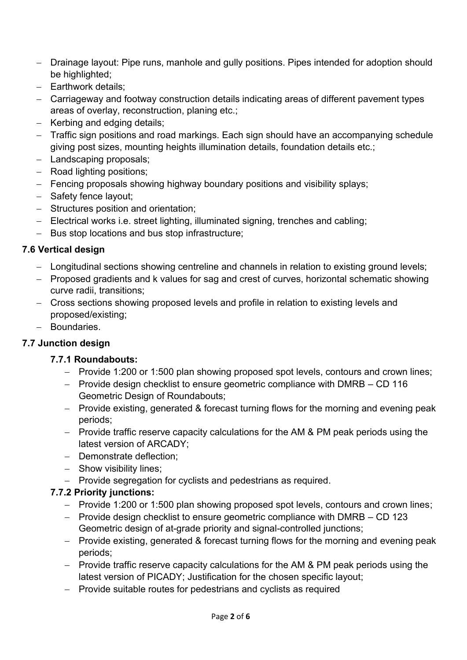- − Drainage layout: Pipe runs, manhole and gully positions. Pipes intended for adoption should be highlighted;
- − Earthwork details;
- − Carriageway and footway construction details indicating areas of different pavement types areas of overlay, reconstruction, planing etc.;
- − Kerbing and edging details;
- − Traffic sign positions and road markings. Each sign should have an accompanying schedule giving post sizes, mounting heights illumination details, foundation details etc.;
- − Landscaping proposals;
- − Road lighting positions;
- − Fencing proposals showing highway boundary positions and visibility splays;
- − Safety fence layout;
- − Structures position and orientation;
- − Electrical works i.e. street lighting, illuminated signing, trenches and cabling;
- − Bus stop locations and bus stop infrastructure;

## **7.6 Vertical design**

- − Longitudinal sections showing centreline and channels in relation to existing ground levels;
- − Proposed gradients and k values for sag and crest of curves, horizontal schematic showing curve radii, transitions;
- − Cross sections showing proposed levels and profile in relation to existing levels and proposed/existing;
- − Boundaries.

## **7.7 Junction design**

#### **7.7.1 Roundabouts:**

- − Provide 1:200 or 1:500 plan showing proposed spot levels, contours and crown lines;
- − Provide design checklist to ensure geometric compliance with DMRB CD 116 Geometric Design of Roundabouts;
- − Provide existing, generated & forecast turning flows for the morning and evening peak periods;
- − Provide traffic reserve capacity calculations for the AM & PM peak periods using the latest version of ARCADY;
- − Demonstrate deflection;
- − Show visibility lines;
- − Provide segregation for cyclists and pedestrians as required.

## **7.7.2 Priority junctions:**

- − Provide 1:200 or 1:500 plan showing proposed spot levels, contours and crown lines;
- − Provide design checklist to ensure geometric compliance with DMRB CD 123 Geometric design of at-grade priority and signal-controlled junctions;
- − Provide existing, generated & forecast turning flows for the morning and evening peak periods;
- − Provide traffic reserve capacity calculations for the AM & PM peak periods using the latest version of PICADY; Justification for the chosen specific layout;
- − Provide suitable routes for pedestrians and cyclists as required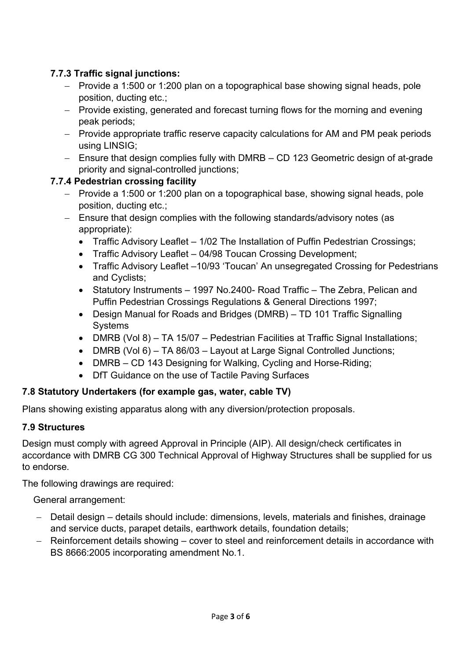# **7.7.3 Traffic signal junctions:**

- − Provide a 1:500 or 1:200 plan on a topographical base showing signal heads, pole position, ducting etc.;
- − Provide existing, generated and forecast turning flows for the morning and evening peak periods;
- − Provide appropriate traffic reserve capacity calculations for AM and PM peak periods using LINSIG;
- − Ensure that design complies fully with DMRB CD 123 Geometric design of at-grade priority and signal-controlled junctions;

## **7.7.4 Pedestrian crossing facility**

- − Provide a 1:500 or 1:200 plan on a topographical base, showing signal heads, pole position, ducting etc.;
- − Ensure that design complies with the following standards/advisory notes (as appropriate):
	- Traffic Advisory Leaflet 1/02 The Installation of Puffin Pedestrian Crossings;
	- Traffic Advisory Leaflet 04/98 Toucan Crossing Development;
	- Traffic Advisory Leaflet –10/93 'Toucan' An unsegregated Crossing for Pedestrians and Cyclists;
	- Statutory Instruments 1997 No.2400- Road Traffic The Zebra, Pelican and Puffin Pedestrian Crossings Regulations & General Directions 1997;
	- Design Manual for Roads and Bridges (DMRB) TD 101 Traffic Signalling **Systems**
	- DMRB (Vol 8) TA 15/07 Pedestrian Facilities at Traffic Signal Installations;
	- DMRB (Vol 6) TA 86/03 Layout at Large Signal Controlled Junctions;
	- DMRB CD 143 Designing for Walking, Cycling and Horse-Riding;
	- DfT Guidance on the use of Tactile Paving Surfaces

#### **7.8 Statutory Undertakers (for example gas, water, cable TV)**

Plans showing existing apparatus along with any diversion/protection proposals.

#### **7.9 Structures**

Design must comply with agreed Approval in Principle (AIP). All design/check certificates in accordance with DMRB CG 300 Technical Approval of Highway Structures shall be supplied for us to endorse.

The following drawings are required:

General arrangement:

- − Detail design details should include: dimensions, levels, materials and finishes, drainage and service ducts, parapet details, earthwork details, foundation details;
- − Reinforcement details showing cover to steel and reinforcement details in accordance with BS 8666:2005 incorporating amendment No.1.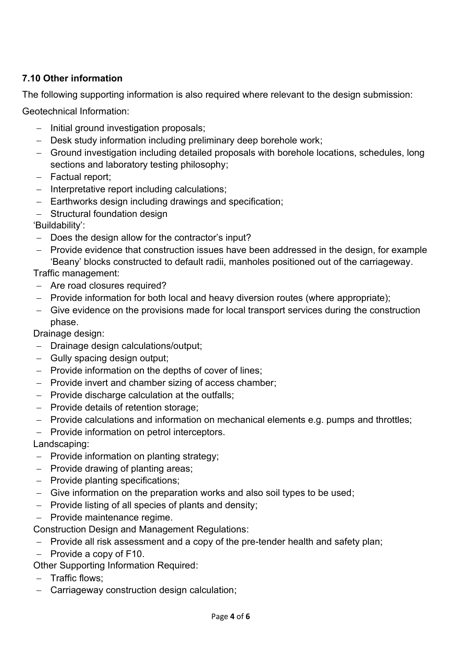## **7.10 Other information**

The following supporting information is also required where relevant to the design submission:

Geotechnical Information:

- − Initial ground investigation proposals;
- − Desk study information including preliminary deep borehole work;
- − Ground investigation including detailed proposals with borehole locations, schedules, long sections and laboratory testing philosophy;
- − Factual report;
- − Interpretative report including calculations;
- − Earthworks design including drawings and specification;
- − Structural foundation design

## 'Buildability':

- − Does the design allow for the contractor's input?
- − Provide evidence that construction issues have been addressed in the design, for example 'Beany' blocks constructed to default radii, manholes positioned out of the carriageway.

Traffic management:

- − Are road closures required?
- − Provide information for both local and heavy diversion routes (where appropriate);
- − Give evidence on the provisions made for local transport services during the construction phase.

Drainage design:

- − Drainage design calculations/output;
- − Gully spacing design output;
- − Provide information on the depths of cover of lines;
- − Provide invert and chamber sizing of access chamber;
- − Provide discharge calculation at the outfalls;
- − Provide details of retention storage;
- − Provide calculations and information on mechanical elements e.g. pumps and throttles;
- − Provide information on petrol interceptors.

Landscaping:

- − Provide information on planting strategy;
- − Provide drawing of planting areas;
- − Provide planting specifications;
- − Give information on the preparation works and also soil types to be used;
- − Provide listing of all species of plants and density;
- − Provide maintenance regime.

Construction Design and Management Regulations:

- − Provide all risk assessment and a copy of the pre-tender health and safety plan;
- − Provide a copy of F10.

Other Supporting Information Required:

- − Traffic flows;
- − Carriageway construction design calculation;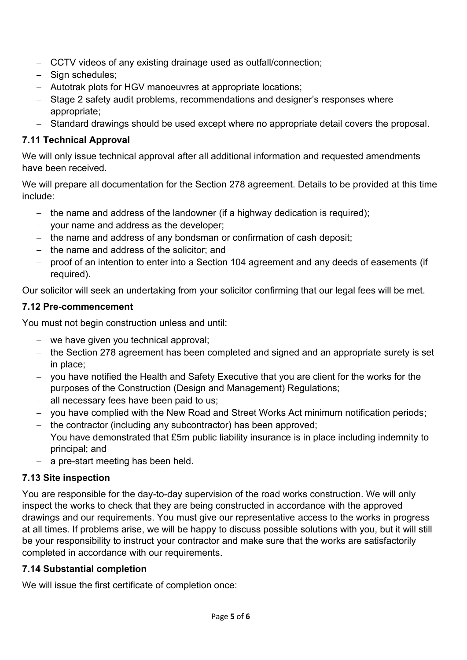- − CCTV videos of any existing drainage used as outfall/connection;
- − Sign schedules;
- − Autotrak plots for HGV manoeuvres at appropriate locations;
- − Stage 2 safety audit problems, recommendations and designer's responses where appropriate;
- − Standard drawings should be used except where no appropriate detail covers the proposal.

## **7.11 Technical Approval**

We will only issue technical approval after all additional information and requested amendments have been received.

We will prepare all documentation for the Section 278 agreement. Details to be provided at this time include:

- − the name and address of the landowner (if a highway dedication is required);
- − your name and address as the developer;
- − the name and address of any bondsman or confirmation of cash deposit;
- − the name and address of the solicitor; and
- − proof of an intention to enter into a Section 104 agreement and any deeds of easements (if required).

Our solicitor will seek an undertaking from your solicitor confirming that our legal fees will be met.

# **7.12 Pre-commencement**

You must not begin construction unless and until:

- − we have given you technical approval;
- − the Section 278 agreement has been completed and signed and an appropriate surety is set in place;
- − you have notified the Health and Safety Executive that you are client for the works for the purposes of the Construction (Design and Management) Regulations;
- − all necessary fees have been paid to us;
- − you have complied with the New Road and Street Works Act minimum notification periods;
- − the contractor (including any subcontractor) has been approved;
- − You have demonstrated that £5m public liability insurance is in place including indemnity to principal; and
- − a pre-start meeting has been held.

# **7.13 Site inspection**

You are responsible for the day-to-day supervision of the road works construction. We will only inspect the works to check that they are being constructed in accordance with the approved drawings and our requirements. You must give our representative access to the works in progress at all times. If problems arise, we will be happy to discuss possible solutions with you, but it will still be your responsibility to instruct your contractor and make sure that the works are satisfactorily completed in accordance with our requirements.

# **7.14 Substantial completion**

We will issue the first certificate of completion once: